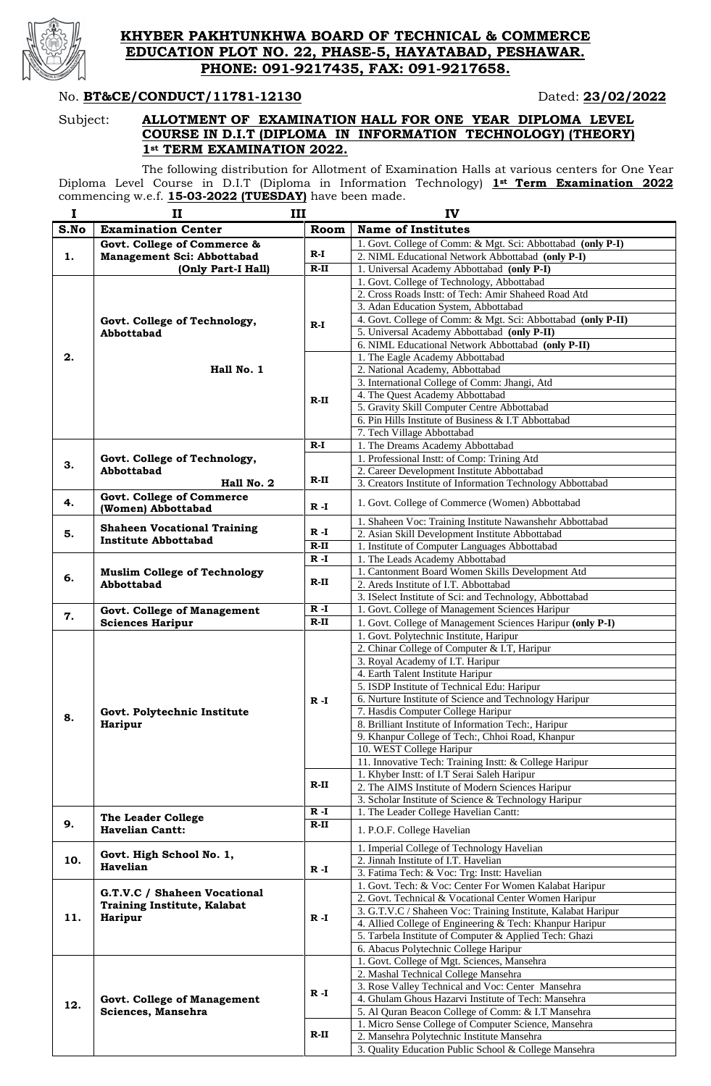

### **KHYBER PAKHTUNKHWA BOARD OF TECHNICAL & COMMERCE EDUCATION PLOT NO. 22, PHASE-5, HAYATABAD, PESHAWAR. PHONE: 091-9217435, FAX: 091-9217658.**

#### No. **BT&CE/CONDUCT/11781-12130** Dated: 23/02/2022

#### Subject: **ALLOTMENT OF EXAMINATION HALL FOR ONE YEAR DIPLOMA LEVEL COURSE IN D.I.T (DIPLOMA IN INFORMATION TECHNOLOGY) (THEORY) 1st TERM EXAMINATION 2022.**

The following distribution for Allotment of Examination Halls at various centers for One Year Diploma Level Course in D.I.T (Diploma in Information Technology) **1st Term Examination 2022** commencing w.e.f. **15-03-2022 (TUESDAY)** have been made.

| $\mathbf I$ | $\mathbf{I}$                                                      | III     | IV                                                                                                                        |  |  |
|-------------|-------------------------------------------------------------------|---------|---------------------------------------------------------------------------------------------------------------------------|--|--|
| S.No        | <b>Examination Center</b>                                         | Room    | <b>Name of Institutes</b>                                                                                                 |  |  |
|             | Govt. College of Commerce &                                       |         | 1. Govt. College of Comm: & Mgt. Sci: Abbottabad (only P-I)                                                               |  |  |
| 1.          | Management Sci: Abbottabad                                        | $R-I$   | 2. NIML Educational Network Abbottabad (only P-I)                                                                         |  |  |
|             | (Only Part-I Hall)                                                | $R-II$  | 1. Universal Academy Abbottabad (only P-I)                                                                                |  |  |
|             |                                                                   |         | 1. Govt. College of Technology, Abbottabad                                                                                |  |  |
|             |                                                                   |         | 2. Cross Roads Instt: of Tech: Amir Shaheed Road Atd                                                                      |  |  |
|             |                                                                   |         | 3. Adan Education System, Abbottabad                                                                                      |  |  |
|             | Govt. College of Technology,<br>Abbottabad                        | $R-I$   | 4. Govt. College of Comm: & Mgt. Sci: Abbottabad (only P-II)                                                              |  |  |
|             |                                                                   |         | 5. Universal Academy Abbottabad (only P-II)                                                                               |  |  |
|             |                                                                   |         | 6. NIML Educational Network Abbottabad (only P-II)                                                                        |  |  |
| 2.          | Hall No. 1                                                        |         | 1. The Eagle Academy Abbottabad<br>2. National Academy, Abbottabad                                                        |  |  |
|             |                                                                   |         | 3. International College of Comm: Jhangi, Atd                                                                             |  |  |
|             |                                                                   |         | 4. The Quest Academy Abbottabad                                                                                           |  |  |
|             |                                                                   | $R-II$  | 5. Gravity Skill Computer Centre Abbottabad                                                                               |  |  |
|             |                                                                   |         | 6. Pin Hills Institute of Business & I.T Abbottabad                                                                       |  |  |
|             |                                                                   |         | 7. Tech Village Abbottabad                                                                                                |  |  |
|             |                                                                   | $R-I$   | 1. The Dreams Academy Abbottabad                                                                                          |  |  |
|             | Govt. College of Technology,                                      |         | 1. Professional Instt: of Comp: Trining Atd                                                                               |  |  |
| 3.          | Abbottabad                                                        |         | 2. Career Development Institute Abbottabad                                                                                |  |  |
|             | Hall No. 2                                                        | $R-II$  | 3. Creators Institute of Information Technology Abbottabad                                                                |  |  |
| 4.          | <b>Govt. College of Commerce</b><br>(Women) Abbottabad            | $R - I$ | 1. Govt. College of Commerce (Women) Abbottabad                                                                           |  |  |
|             |                                                                   |         | 1. Shaheen Voc: Training Institute Nawanshehr Abbottabad                                                                  |  |  |
| 5.          | <b>Shaheen Vocational Training</b><br><b>Institute Abbottabad</b> | $R - I$ | 2. Asian Skill Development Institute Abbottabad                                                                           |  |  |
|             |                                                                   | $R-II$  | 1. Institute of Computer Languages Abbottabad                                                                             |  |  |
|             |                                                                   | $R - I$ | 1. The Leads Academy Abbottabad                                                                                           |  |  |
| 6.          | <b>Muslim College of Technology</b>                               |         | 1. Cantonment Board Women Skills Development Atd                                                                          |  |  |
|             | Abbottabad                                                        | $R-II$  | 2. Areds Institute of I.T. Abbottabad                                                                                     |  |  |
|             |                                                                   |         | 3. ISelect Institute of Sci: and Technology, Abbottabad                                                                   |  |  |
| 7.          | <b>Govt. College of Management</b>                                | $R - I$ | 1. Govt. College of Management Sciences Haripur                                                                           |  |  |
|             | <b>Sciences Haripur</b>                                           | $R-II$  | 1. Govt. College of Management Sciences Haripur (only P-I)                                                                |  |  |
|             |                                                                   |         | 1. Govt. Polytechnic Institute, Haripur                                                                                   |  |  |
|             |                                                                   |         | 2. Chinar College of Computer & I.T, Haripur                                                                              |  |  |
|             |                                                                   |         | 3. Royal Academy of I.T. Haripur<br>4. Earth Talent Institute Haripur                                                     |  |  |
|             |                                                                   |         | 5. ISDP Institute of Technical Edu: Haripur                                                                               |  |  |
|             |                                                                   | $R - I$ | 6. Nurture Institute of Science and Technology Haripur                                                                    |  |  |
|             | Govt. Polytechnic Institute                                       |         | 7. Hasdis Computer College Haripur                                                                                        |  |  |
| 8.          | <b>Haripur</b>                                                    |         | 8. Brilliant Institute of Information Tech:, Haripur                                                                      |  |  |
|             |                                                                   |         | 9. Khanpur College of Tech:, Chhoi Road, Khanpur                                                                          |  |  |
|             |                                                                   |         | 10. WEST College Haripur                                                                                                  |  |  |
|             |                                                                   |         | 11. Innovative Tech: Training Instt: & College Haripur                                                                    |  |  |
|             |                                                                   |         | 1. Khyber Instt: of I.T Serai Saleh Haripur                                                                               |  |  |
|             |                                                                   | $R-II$  | 2. The AIMS Institute of Modern Sciences Haripur                                                                          |  |  |
|             |                                                                   |         | 3. Scholar Institute of Science & Technology Haripur                                                                      |  |  |
|             | The Leader College                                                | $R - I$ | 1. The Leader College Havelian Cantt:                                                                                     |  |  |
| 9.          | <b>Havelian Cantt:</b>                                            | $R-II$  | 1. P.O.F. College Havelian                                                                                                |  |  |
|             | Govt. High School No. 1,                                          |         | 1. Imperial College of Technology Havelian                                                                                |  |  |
| 10.         | Havelian                                                          | $R - I$ | 2. Jinnah Institute of I.T. Havelian                                                                                      |  |  |
|             |                                                                   |         | 3. Fatima Tech: & Voc: Trg: Instt: Havelian                                                                               |  |  |
|             | G.T.V.C / Shaheen Vocational                                      |         | 1. Govt. Tech: & Voc: Center For Women Kalabat Haripur                                                                    |  |  |
|             | <b>Training Institute, Kalabat</b><br><b>Haripur</b><br>$R - I$   |         | 2. Govt. Technical & Vocational Center Women Haripur                                                                      |  |  |
| 11.         |                                                                   |         | 3. G.T.V.C / Shaheen Voc: Training Institute, Kalabat Haripur<br>4. Allied College of Engineering & Tech: Khanpur Haripur |  |  |
|             |                                                                   |         | 5. Tarbela Institute of Computer & Applied Tech: Ghazi                                                                    |  |  |
|             |                                                                   |         | 6. Abacus Polytechnic College Haripur                                                                                     |  |  |
|             |                                                                   |         | 1. Govt. College of Mgt. Sciences, Mansehra                                                                               |  |  |
|             |                                                                   |         | 2. Mashal Technical College Mansehra                                                                                      |  |  |
|             |                                                                   |         | 3. Rose Valley Technical and Voc: Center Mansehra                                                                         |  |  |
| 12.         | <b>Govt. College of Management</b><br>Sciences, Mansehra          | $R - I$ | 4. Ghulam Ghous Hazarvi Institute of Tech: Mansehra                                                                       |  |  |
|             |                                                                   |         | 5. Al Quran Beacon College of Comm: & I.T Mansehra                                                                        |  |  |
|             |                                                                   |         | 1. Micro Sense College of Computer Science, Mansehra                                                                      |  |  |
|             |                                                                   | $R-II$  | 2. Mansehra Polytechnic Institute Mansehra                                                                                |  |  |
|             |                                                                   |         | 3. Quality Education Public School & College Mansehra                                                                     |  |  |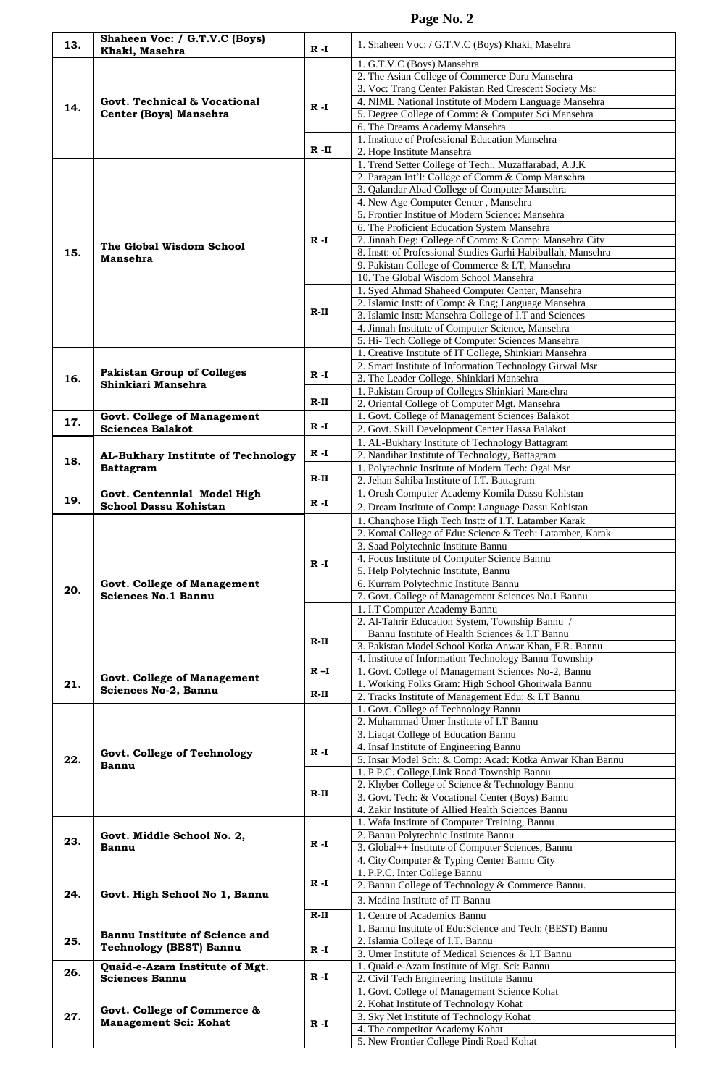| 13. | Shaheen Voc: / G.T.V.C (Boys)                                    | R -I     | 1. Shaheen Voc: / G.T.V.C (Boys) Khaki, Masehra                                                                  |
|-----|------------------------------------------------------------------|----------|------------------------------------------------------------------------------------------------------------------|
|     | Khaki, Masehra                                                   |          | 1. G.T.V.C (Boys) Mansehra                                                                                       |
|     |                                                                  |          | 2. The Asian College of Commerce Dara Mansehra<br>3. Voc: Trang Center Pakistan Red Crescent Society Msr         |
|     | Govt. Technical & Vocational                                     |          | 4. NIML National Institute of Modern Language Mansehra                                                           |
| 14. | Center (Boys) Mansehra                                           | R -I     | 5. Degree College of Comm: & Computer Sci Mansehra                                                               |
|     |                                                                  |          | 6. The Dreams Academy Mansehra<br>1. Institute of Professional Education Mansehra                                |
|     |                                                                  | $R - II$ | 2. Hope Institute Mansehra                                                                                       |
|     |                                                                  |          | 1. Trend Setter College of Tech:, Muzaffarabad, A.J.K                                                            |
|     |                                                                  |          | 2. Paragan Int'l: College of Comm & Comp Mansehra<br>3. Qalandar Abad College of Computer Mansehra               |
|     | The Global Wisdom School<br><b>Mansehra</b>                      |          | 4. New Age Computer Center, Mansehra                                                                             |
|     |                                                                  |          | 5. Frontier Institue of Modern Science: Mansehra                                                                 |
|     |                                                                  | R -I     | 6. The Proficient Education System Mansehra<br>7. Jinnah Deg: College of Comm: & Comp: Mansehra City             |
| 15. |                                                                  |          | 8. Instt: of Professional Studies Garhi Habibullah, Mansehra                                                     |
|     |                                                                  |          | 9. Pakistan College of Commerce & I.T, Mansehra<br>10. The Global Wisdom School Mansehra                         |
|     |                                                                  |          | 1. Syed Ahmad Shaheed Computer Center, Mansehra                                                                  |
|     |                                                                  | R-II     | 2. Islamic Instt: of Comp: & Eng; Language Mansehra                                                              |
|     |                                                                  |          | 3. Islamic Instt: Mansehra College of I.T and Sciences<br>4. Jinnah Institute of Computer Science, Mansehra      |
|     |                                                                  |          | 5. Hi- Tech College of Computer Sciences Mansehra                                                                |
|     |                                                                  |          | 1. Creative Institute of IT College, Shinkiari Mansehra                                                          |
| 16. | <b>Pakistan Group of Colleges</b>                                | $R - I$  | 2. Smart Institute of Information Technology Girwal Msr<br>3. The Leader College, Shinkiari Mansehra             |
|     | Shinkiari Mansehra                                               |          | 1. Pakistan Group of Colleges Shinkiari Mansehra                                                                 |
|     |                                                                  | $R-II$   | 2. Oriental College of Computer Mgt. Mansehra                                                                    |
| 17. | <b>Govt. College of Management</b><br><b>Sciences Balakot</b>    | $R - I$  | 1. Govt. College of Management Sciences Balakot<br>2. Govt. Skill Development Center Hassa Balakot               |
|     |                                                                  |          | 1. AL-Bukhary Institute of Technology Battagram                                                                  |
| 18. | AL-Bukhary Institute of Technology                               | $R - I$  | 2. Nandihar Institute of Technology, Battagram                                                                   |
|     | <b>Battagram</b>                                                 | $R-II$   | 1. Polytechnic Institute of Modern Tech: Ogai Msr<br>2. Jehan Sahiba Institute of I.T. Battagram                 |
| 19. | Govt. Centennial Model High                                      |          | 1. Orush Computer Academy Komila Dassu Kohistan                                                                  |
|     | <b>School Dassu Kohistan</b>                                     | $R - I$  | 2. Dream Institute of Comp: Language Dassu Kohistan                                                              |
|     | <b>Govt. College of Management</b>                               |          | 1. Changhose High Tech Instt: of I.T. Latamber Karak<br>2. Komal College of Edu: Science & Tech: Latamber, Karak |
|     |                                                                  |          | 3. Saad Polytechnic Institute Bannu                                                                              |
|     |                                                                  | $R - I$  | 4. Focus Institute of Computer Science Bannu                                                                     |
|     |                                                                  |          | 5. Help Polytechnic Institute, Bannu<br>6. Kurram Polytechnic Institute Bannu                                    |
| 20. | <b>Sciences No.1 Bannu</b>                                       |          | 7. Govt. College of Management Sciences No.1 Bannu                                                               |
|     |                                                                  |          | 1. I.T Computer Academy Bannu<br>2. Al-Tahrir Education System, Township Bannu /                                 |
|     |                                                                  |          | Bannu Institute of Health Sciences & I.T Bannu                                                                   |
|     |                                                                  | R-II     | 3. Pakistan Model School Kotka Anwar Khan, F.R. Bannu                                                            |
|     |                                                                  | $R-I$    | 4. Institute of Information Technology Bannu Township<br>1. Govt. College of Management Sciences No-2, Bannu     |
| 21. | <b>Govt. College of Management</b><br>Sciences No-2, Bannu       |          | 1. Working Folks Gram: High School Ghoriwala Bannu                                                               |
|     |                                                                  | R-II     | 2. Tracks Institute of Management Edu: & I.T Bannu                                                               |
|     | Govt. College of Technology<br><b>Bannu</b>                      |          | 1. Govt. College of Technology Bannu<br>2. Muhammad Umer Institute of I.T Bannu                                  |
|     |                                                                  |          | 3. Liaqat College of Education Bannu                                                                             |
| 22. |                                                                  | $R - I$  | 4. Insaf Institute of Engineering Bannu<br>5. Insar Model Sch: & Comp: Acad: Kotka Anwar Khan Bannu              |
|     |                                                                  |          | 1. P.P.C. College, Link Road Township Bannu                                                                      |
|     |                                                                  | R-II     | 2. Khyber College of Science & Technology Bannu                                                                  |
|     |                                                                  |          | 3. Govt. Tech: & Vocational Center (Boys) Bannu<br>4. Zakir Institute of Allied Health Sciences Bannu            |
|     |                                                                  |          | 1. Wafa Institute of Computer Training, Bannu                                                                    |
| 23. | Govt. Middle School No. 2,<br>Bannu                              | R -I     | 2. Bannu Polytechnic Institute Bannu                                                                             |
|     |                                                                  |          | 3. Global++ Institute of Computer Sciences, Bannu<br>4. City Computer & Typing Center Bannu City                 |
|     |                                                                  |          | 1. P.P.C. Inter College Bannu                                                                                    |
| 24. | Govt. High School No 1, Bannu                                    | $R - I$  | 2. Bannu College of Technology & Commerce Bannu.                                                                 |
|     |                                                                  | $R-II$   | 3. Madina Institute of IT Bannu<br>1. Centre of Academics Bannu                                                  |
|     |                                                                  |          | 1. Bannu Institute of Edu:Science and Tech: (BEST) Bannu                                                         |
| 25. | Bannu Institute of Science and<br><b>Technology (BEST) Bannu</b> | $R - I$  | 2. Islamia College of I.T. Bannu                                                                                 |
|     | Quaid-e-Azam Institute of Mgt.                                   |          | 3. Umer Institute of Medical Sciences & I.T Bannu<br>1. Quaid-e-Azam Institute of Mgt. Sci: Bannu                |
| 26. | <b>Sciences Bannu</b>                                            | $R - I$  | 2. Civil Tech Engineering Institute Bannu                                                                        |
|     |                                                                  |          | 1. Govt. College of Management Science Kohat                                                                     |
| 27. | Govt. College of Commerce &                                      |          | 2. Kohat Institute of Technology Kohat<br>3. Sky Net Institute of Technology Kohat                               |
|     | <b>Management Sci: Kohat</b>                                     | R -I     | 4. The competitor Academy Kohat                                                                                  |
|     |                                                                  |          | 5. New Frontier College Pindi Road Kohat                                                                         |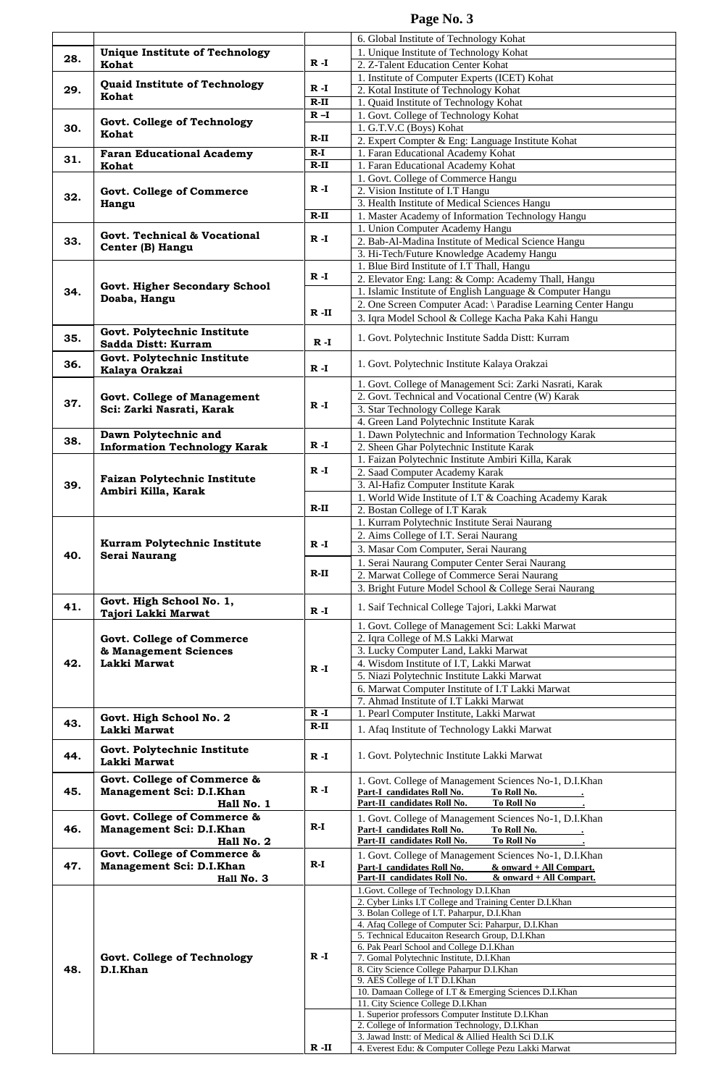|     |                                                      |         | 6. Global Institute of Technology Kohat                                                                |
|-----|------------------------------------------------------|---------|--------------------------------------------------------------------------------------------------------|
| 28. | <b>Unique Institute of Technology</b>                | $R - I$ | 1. Unique Institute of Technology Kohat                                                                |
|     | Kohat                                                |         | 2. Z-Talent Education Center Kohat                                                                     |
|     | Quaid Institute of Technology                        | $R - I$ | 1. Institute of Computer Experts (ICET) Kohat                                                          |
| 29. | Kohat                                                |         | 2. Kotal Institute of Technology Kohat                                                                 |
|     |                                                      | R-II    | 1. Quaid Institute of Technology Kohat                                                                 |
|     | Govt. College of Technology                          | $R - I$ | 1. Govt. College of Technology Kohat                                                                   |
| 30. | Kohat                                                | $R-II$  | 1. G.T.V.C (Boys) Kohat                                                                                |
|     |                                                      |         | 2. Expert Compter & Eng: Language Institute Kohat                                                      |
| 31. | <b>Faran Educational Academy</b>                     | $R-I$   | 1. Faran Educational Academy Kohat                                                                     |
|     | Kohat                                                | $R-II$  | 1. Faran Educational Academy Kohat                                                                     |
|     |                                                      |         | 1. Govt. College of Commerce Hangu                                                                     |
| 32. | <b>Govt. College of Commerce</b>                     | R -I    | 2. Vision Institute of I.T Hangu                                                                       |
|     | Hangu                                                |         | 3. Health Institute of Medical Sciences Hangu                                                          |
|     |                                                      | $R-II$  | 1. Master Academy of Information Technology Hangu                                                      |
|     | <b>Govt. Technical &amp; Vocational</b>              |         | 1. Union Computer Academy Hangu                                                                        |
| 33. | Center (B) Hangu                                     | $R - I$ | 2. Bab-Al-Madina Institute of Medical Science Hangu                                                    |
|     |                                                      |         | 3. Hi-Tech/Future Knowledge Academy Hangu                                                              |
|     |                                                      |         | 1. Blue Bird Institute of I.T Thall, Hangu                                                             |
|     | Govt. Higher Secondary School                        | $R - I$ | 2. Elevator Eng: Lang: & Comp: Academy Thall, Hangu                                                    |
| 34. | Doaba, Hangu                                         |         | 1. Islamic Institute of English Language & Computer Hangu                                              |
|     |                                                      | R -II   | 2. One Screen Computer Acad: \ Paradise Learning Center Hangu                                          |
|     |                                                      |         | 3. Iqra Model School & College Kacha Paka Kahi Hangu                                                   |
| 35. | Govt. Polytechnic Institute                          |         | 1. Govt. Polytechnic Institute Sadda Distt: Kurram                                                     |
|     | Sadda Distt: Kurram                                  | $R - I$ |                                                                                                        |
|     | Govt. Polytechnic Institute                          |         |                                                                                                        |
| 36. | Kalaya Orakzai                                       | R -I    | 1. Govt. Polytechnic Institute Kalaya Orakzai                                                          |
|     |                                                      |         | 1. Govt. College of Management Sci: Zarki Nasrati, Karak                                               |
|     | <b>Govt. College of Management</b>                   |         | 2. Govt. Technical and Vocational Centre (W) Karak                                                     |
| 37. | Sci: Zarki Nasrati, Karak                            | $R - I$ | 3. Star Technology College Karak                                                                       |
|     |                                                      |         | 4. Green Land Polytechnic Institute Karak                                                              |
|     | Dawn Polytechnic and                                 |         | 1. Dawn Polytechnic and Information Technology Karak                                                   |
| 38. | <b>Information Technology Karak</b>                  | R -I    | 2. Sheen Ghar Polytechnic Institute Karak                                                              |
|     |                                                      |         | 1. Faizan Polytechnic Institute Ambiri Killa, Karak                                                    |
|     |                                                      | $R - I$ | 2. Saad Computer Academy Karak                                                                         |
| 39. | <b>Faizan Polytechnic Institute</b>                  |         | 3. Al-Hafiz Computer Institute Karak                                                                   |
|     | Ambiri Killa, Karak                                  |         | 1. World Wide Institute of I.T & Coaching Academy Karak                                                |
|     |                                                      | R-II    | 2. Bostan College of I.T Karak                                                                         |
|     |                                                      |         | 1. Kurram Polytechnic Institute Serai Naurang                                                          |
|     | Kurram Polytechnic Institute<br><b>Serai Naurang</b> |         | 2. Aims College of I.T. Serai Naurang                                                                  |
| 40. |                                                      | $R - I$ | 3. Masar Com Computer, Serai Naurang                                                                   |
|     |                                                      |         | 1. Serai Naurang Computer Center Serai Naurang                                                         |
|     |                                                      | $R-II$  | 2. Marwat College of Commerce Serai Naurang                                                            |
|     |                                                      |         | 3. Bright Future Model School & College Serai Naurang                                                  |
|     | Govt. High School No. 1,                             |         |                                                                                                        |
| 41. | Tajori Lakki Marwat                                  | $R - I$ | 1. Saif Technical College Tajori, Lakki Marwat                                                         |
|     |                                                      |         | 1. Govt. College of Management Sci: Lakki Marwat                                                       |
|     | <b>Govt. College of Commerce</b>                     |         | 2. Iqra College of M.S Lakki Marwat                                                                    |
|     | & Management Sciences                                |         | 3. Lucky Computer Land, Lakki Marwat                                                                   |
| 42. | Lakki Marwat                                         |         | 4. Wisdom Institute of I.T, Lakki Marwat                                                               |
|     |                                                      | $R - I$ | 5. Niazi Polytechnic Institute Lakki Marwat                                                            |
|     |                                                      |         | 6. Marwat Computer Institute of I.T Lakki Marwat                                                       |
|     |                                                      |         | 7. Ahmad Institute of I.T Lakki Marwat                                                                 |
|     | Govt. High School No. 2                              | $R - I$ | 1. Pearl Computer Institute, Lakki Marwat                                                              |
| 43. | Lakki Marwat                                         | $R-II$  | 1. Afaq Institute of Technology Lakki Marwat                                                           |
|     |                                                      |         |                                                                                                        |
| 44. | Govt. Polytechnic Institute                          | $R - I$ | 1. Govt. Polytechnic Institute Lakki Marwat                                                            |
|     | Lakki Marwat                                         |         |                                                                                                        |
|     | Govt. College of Commerce &                          |         | 1. Govt. College of Management Sciences No-1, D.I.Khan                                                 |
| 45. | Management Sci: D.I.Khan                             | $R - I$ | Part-I candidates Roll No.<br>To Roll No.                                                              |
|     | Hall No. 1                                           |         | Part-II candidates Roll No.<br><b>To Roll No</b>                                                       |
|     | Govt. College of Commerce &                          |         | 1. Govt. College of Management Sciences No-1, D.I.Khan                                                 |
| 46. | Management Sci: D.I.Khan                             | $R-I$   | Part-I candidates Roll No.<br>To Roll No.                                                              |
|     | Hall No. 2                                           |         | Part-II candidates Roll No.<br><b>To Roll No</b>                                                       |
|     | Govt. College of Commerce &                          |         | 1. Govt. College of Management Sciences No-1, D.I.Khan                                                 |
| 47. | Management Sci: D.I.Khan                             | $R-I$   | Part-I candidates Roll No.<br>& onward + All Compart.                                                  |
|     | Hall No. 3                                           |         | Part-II candidates Roll No.<br>& onward + All Compart.                                                 |
|     |                                                      |         | 1.Govt. College of Technology D.I.Khan                                                                 |
|     |                                                      |         | 2. Cyber Links I.T College and Training Center D.I.Khan                                                |
|     |                                                      |         | 3. Bolan College of I.T. Paharpur, D.I.Khan                                                            |
|     |                                                      |         | 4. Afaq College of Computer Sci: Paharpur, D.I.Khan<br>5. Technical Educaiton Research Group, D.I.Khan |
|     |                                                      |         | 6. Pak Pearl School and College D.I.Khan                                                               |
|     | Govt. College of Technology                          | $R - I$ | 7. Gomal Polytechnic Institute, D.I.Khan                                                               |
| 48. | D.I.Khan                                             |         | 8. City Science College Paharpur D.I.Khan                                                              |
|     |                                                      |         | 9. AES College of I.T D.I.Khan                                                                         |
|     |                                                      |         | 10. Damaan College of I.T & Emerging Sciences D.I.Khan                                                 |
|     |                                                      |         | 11. City Science College D.I. Khan                                                                     |
|     |                                                      |         | 1. Superior professors Computer Institute D.I.Khan<br>2. College of Information Technology, D.I.Khan   |
|     |                                                      |         |                                                                                                        |
|     |                                                      |         | 3. Jawad Instt: of Medical & Allied Health Sci D.I.K                                                   |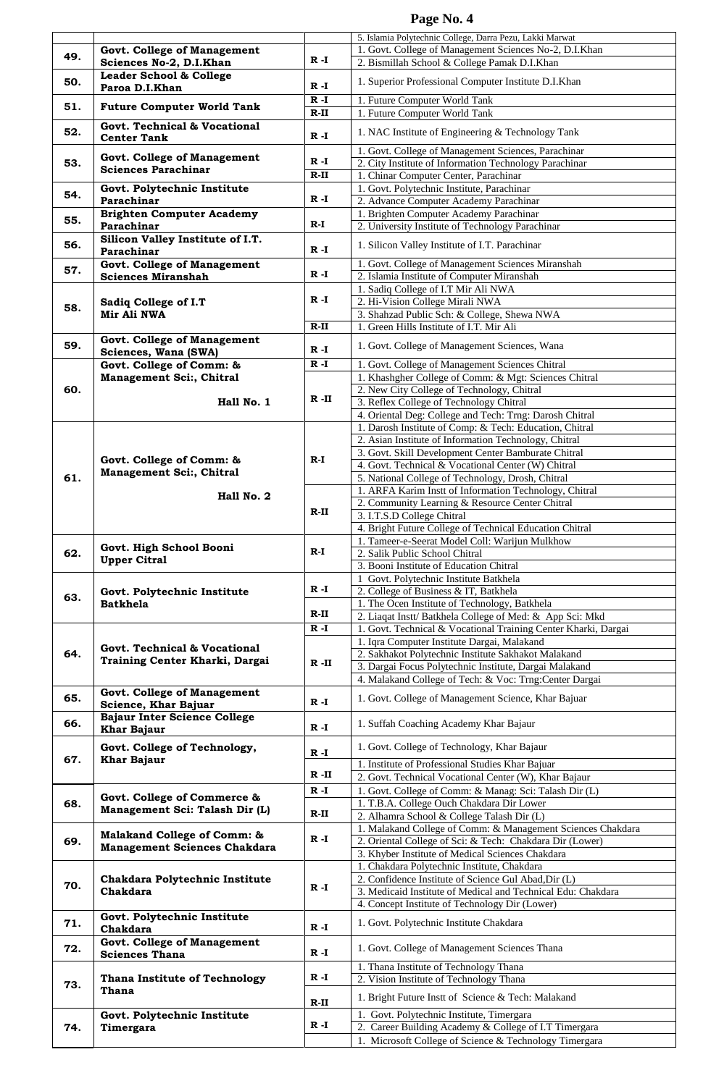|     |                                                               |          | 5. Islamia Polytechnic College, Darra Pezu, Lakki Marwat                                                             |
|-----|---------------------------------------------------------------|----------|----------------------------------------------------------------------------------------------------------------------|
|     |                                                               |          |                                                                                                                      |
| 49. | <b>Govt. College of Management</b>                            | $R - I$  | 1. Govt. College of Management Sciences No-2, D.I.Khan                                                               |
|     | Sciences No-2, D.I.Khan                                       |          | 2. Bismillah School & College Pamak D.I.Khan                                                                         |
| 50. | Leader School & College                                       | $R - I$  | 1. Superior Professional Computer Institute D.I.Khan                                                                 |
|     | Paroa D.I.Khan                                                | $R - I$  | 1. Future Computer World Tank                                                                                        |
| 51. | <b>Future Computer World Tank</b>                             | $R-II$   | 1. Future Computer World Tank                                                                                        |
|     | Govt. Technical & Vocational                                  |          |                                                                                                                      |
| 52. | <b>Center Tank</b>                                            | $R - I$  | 1. NAC Institute of Engineering & Technology Tank                                                                    |
|     |                                                               |          | 1. Govt. College of Management Sciences, Parachinar                                                                  |
| 53. | <b>Govt. College of Management</b>                            | R -I     | 2. City Institute of Information Technology Parachinar                                                               |
|     | <b>Sciences Parachinar</b>                                    | $R-II$   | 1. Chinar Computer Center, Parachinar                                                                                |
|     | Govt. Polytechnic Institute                                   |          | 1. Govt. Polytechnic Institute, Parachinar                                                                           |
| 54. | Parachinar                                                    | $R - I$  | 2. Advance Computer Academy Parachinar                                                                               |
|     | <b>Brighten Computer Academy</b>                              |          | 1. Brighten Computer Academy Parachinar                                                                              |
| 55. | Parachinar                                                    | $R-I$    | 2. University Institute of Technology Parachinar                                                                     |
| 56. | Silicon Valley Institute of I.T.                              |          | 1. Silicon Valley Institute of I.T. Parachinar                                                                       |
|     | Parachinar                                                    | $R - I$  |                                                                                                                      |
| 57. | <b>Govt. College of Management</b>                            |          | 1. Govt. College of Management Sciences Miranshah                                                                    |
|     | <b>Sciences Miranshah</b>                                     | $R - I$  | 2. Islamia Institute of Computer Miranshah                                                                           |
|     |                                                               | $R - I$  | 1. Sadiq College of I.T Mir Ali NWA                                                                                  |
| 58. | Sadiq College of I.T                                          |          | 2. Hi-Vision College Mirali NWA                                                                                      |
|     | Mir Ali NWA                                                   |          | 3. Shahzad Public Sch: & College, Shewa NWA                                                                          |
|     |                                                               | $R-II$   | 1. Green Hills Institute of I.T. Mir Ali                                                                             |
| 59. | <b>Govt. College of Management</b><br>Sciences, Wana (SWA)    | $R - I$  | 1. Govt. College of Management Sciences, Wana                                                                        |
|     | Govt. College of Comm: &                                      | $R - I$  | 1. Govt. College of Management Sciences Chitral                                                                      |
|     | Management Sci:, Chitral                                      |          | 1. Khashgher College of Comm: & Mgt: Sciences Chitral                                                                |
| 60. |                                                               |          | 2. New City College of Technology, Chitral                                                                           |
|     | Hall No. 1                                                    | $R$ -II  | 3. Reflex College of Technology Chitral                                                                              |
|     |                                                               |          | 4. Oriental Deg: College and Tech: Trng: Darosh Chitral                                                              |
|     |                                                               |          | 1. Darosh Institute of Comp: & Tech: Education, Chitral                                                              |
|     |                                                               |          | 2. Asian Institute of Information Technology, Chitral                                                                |
|     |                                                               |          | 3. Govt. Skill Development Center Bamburate Chitral                                                                  |
|     | Govt. College of Comm: &                                      | R-I      | 4. Govt. Technical & Vocational Center (W) Chitral                                                                   |
| 61. | Management Sci:, Chitral<br>Hall No. 2                        |          | 5. National College of Technology, Drosh, Chitral                                                                    |
|     |                                                               |          | 1. ARFA Karim Instt of Information Technology, Chitral                                                               |
|     |                                                               | $R-II$   | 2. Community Learning & Resource Center Chitral                                                                      |
|     |                                                               |          | 3. I.T.S.D College Chitral                                                                                           |
|     |                                                               |          | 4. Bright Future College of Technical Education Chitral                                                              |
|     | Govt. High School Booni<br><b>Upper Citral</b>                | $R-I$    | 1. Tameer-e-Seerat Model Coll: Warijun Mulkhow                                                                       |
| 62. |                                                               |          | 2. Salik Public School Chitral                                                                                       |
|     |                                                               |          | 3. Booni Institute of Education Chitral<br>Govt. Polytechnic Institute Batkhela                                      |
|     | Govt. Polytechnic Institute<br><b>Batkhela</b>                | $R - I$  | 2. College of Business & IT, Batkhela                                                                                |
| 63. |                                                               |          | 1. The Ocen Institute of Technology, Batkhela                                                                        |
|     |                                                               | R-II     | 2. Liaqat Instt/ Batkhela College of Med: & App Sci: Mkd                                                             |
|     |                                                               | $R - I$  | 1. Govt. Technical & Vocational Training Center Kharki, Dargai                                                       |
|     | Govt. Technical & Vocational                                  |          | 1. Iqra Computer Institute Dargai, Malakand                                                                          |
| 64. | Training Center Kharki, Dargai                                |          | 2. Sakhakot Polytechnic Institute Sakhakot Malakand                                                                  |
|     |                                                               | $R - II$ | 3. Dargai Focus Polytechnic Institute, Dargai Malakand                                                               |
|     |                                                               |          |                                                                                                                      |
| 65. |                                                               |          | 4. Malakand College of Tech: & Voc: Trng: Center Dargai                                                              |
|     | <b>Govt. College of Management</b>                            |          | 1. Govt. College of Management Science, Khar Bajuar                                                                  |
|     | Science, Khar Bajuar                                          | $R - I$  |                                                                                                                      |
| 66. | <b>Bajaur Inter Science College</b>                           | $R - I$  | 1. Suffah Coaching Academy Khar Bajaur                                                                               |
|     | <b>Khar Bajaur</b>                                            |          |                                                                                                                      |
|     | Govt. College of Technology,                                  | $R - I$  | 1. Govt. College of Technology, Khar Bajaur                                                                          |
| 67. | <b>Khar Bajaur</b>                                            |          | 1. Institute of Professional Studies Khar Bajuar                                                                     |
|     |                                                               | $R - II$ | 2. Govt. Technical Vocational Center (W), Khar Bajaur                                                                |
|     |                                                               | $R - I$  | 1. Govt. College of Comm: & Manag: Sci: Talash Dir (L)                                                               |
| 68. | Govt. College of Commerce &<br>Management Sci: Talash Dir (L) |          | 1. T.B.A. College Ouch Chakdara Dir Lower                                                                            |
|     |                                                               | R-II     | 2. Alhamra School & College Talash Dir (L)                                                                           |
|     | Malakand College of Comm: &                                   |          | 1. Malakand College of Comm: & Management Sciences Chakdara                                                          |
| 69. | <b>Management Sciences Chakdara</b>                           | $R - I$  | 2. Oriental College of Sci: & Tech: Chakdara Dir (Lower)                                                             |
|     |                                                               |          | 3. Khyber Institute of Medical Sciences Chakdara                                                                     |
|     |                                                               |          | 1. Chakdara Polytechnic Institute, Chakdara                                                                          |
| 70. | Chakdara Polytechnic Institute<br>Chakdara                    | $R - I$  | 2. Confidence Institute of Science Gul Abad, Dir (L)<br>3. Medicaid Institute of Medical and Technical Edu: Chakdara |
|     |                                                               |          | 4. Concept Institute of Technology Dir (Lower)                                                                       |
|     | Govt. Polytechnic Institute                                   |          |                                                                                                                      |
| 71. | Chakdara                                                      | $R - I$  | 1. Govt. Polytechnic Institute Chakdara                                                                              |
|     | Govt. College of Management                                   |          |                                                                                                                      |
| 72. | <b>Sciences Thana</b>                                         | $R - I$  | 1. Govt. College of Management Sciences Thana                                                                        |
|     |                                                               |          | 1. Thana Institute of Technology Thana                                                                               |
| 73. | <b>Thana Institute of Technology</b>                          | $R - I$  | 2. Vision Institute of Technology Thana                                                                              |
|     | Thana                                                         | $R-II$   | 1. Bright Future Instt of Science & Tech: Malakand                                                                   |
|     |                                                               |          | 1. Govt. Polytechnic Institute, Timergara                                                                            |
| 74. | Govt. Polytechnic Institute<br>Timergara                      | R -I     | 2. Career Building Academy & College of I.T Timergara                                                                |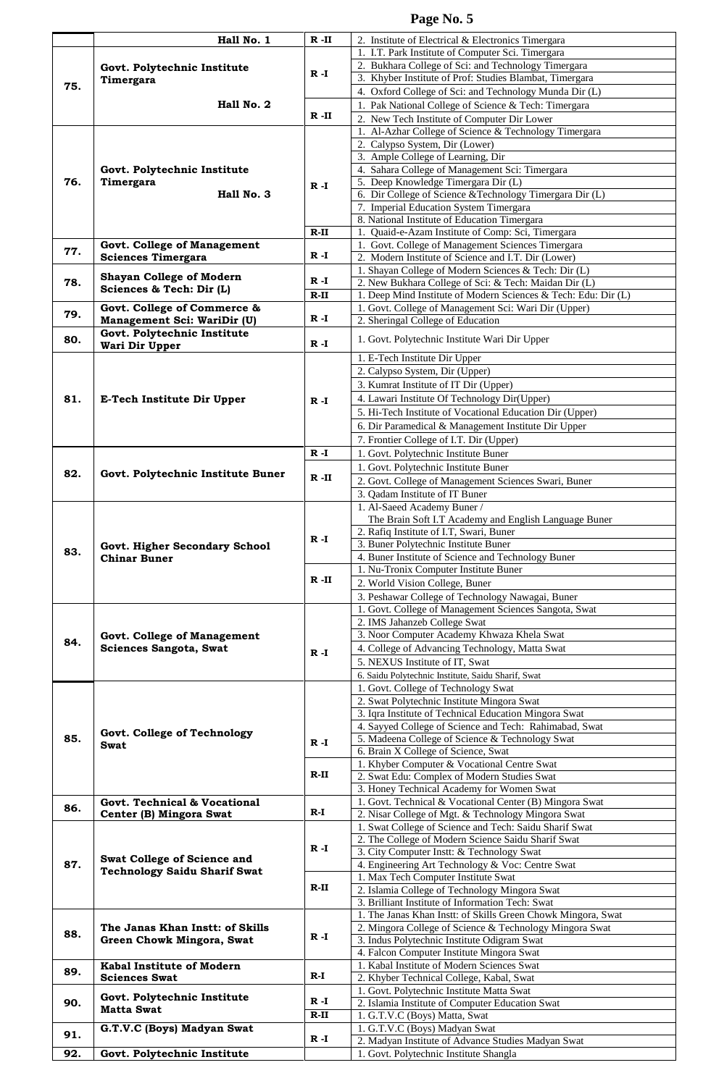|     | Hall No. 1                                                         | $R$ -II  | 2. Institute of Electrical & Electronics Timergara                                           |
|-----|--------------------------------------------------------------------|----------|----------------------------------------------------------------------------------------------|
|     | Govt. Polytechnic Institute<br>Timergara                           |          | 1. I.T. Park Institute of Computer Sci. Timergara                                            |
|     |                                                                    | R -I     | 2. Bukhara College of Sci: and Technology Timergara                                          |
|     |                                                                    |          | 3. Khyber Institute of Prof: Studies Blambat, Timergara                                      |
| 75. |                                                                    |          |                                                                                              |
|     |                                                                    |          | 4. Oxford College of Sci: and Technology Munda Dir (L)                                       |
|     | Hall No. 2                                                         |          | 1. Pak National College of Science & Tech: Timergara                                         |
|     |                                                                    | $R - II$ | 2. New Tech Institute of Computer Dir Lower                                                  |
|     |                                                                    |          | 1. Al-Azhar College of Science & Technology Timergara                                        |
|     |                                                                    |          | 2. Calypso System, Dir (Lower)                                                               |
|     |                                                                    |          | 3. Ample College of Learning, Dir                                                            |
|     | Govt. Polytechnic Institute                                        |          | 4. Sahara College of Management Sci: Timergara                                               |
| 76. | Timergara                                                          | $R - I$  | 5. Deep Knowledge Timergara Dir (L)                                                          |
|     | Hall No. 3                                                         |          | 6. Dir College of Science & Technology Timergara Dir (L)                                     |
|     |                                                                    |          | 7. Imperial Education System Timergara                                                       |
|     |                                                                    |          | 8. National Institute of Education Timergara                                                 |
|     |                                                                    | $R-II$   | 1. Quaid-e-Azam Institute of Comp: Sci, Timergara                                            |
|     | <b>Govt. College of Management</b>                                 |          | 1. Govt. College of Management Sciences Timergara                                            |
| 77. | <b>Sciences Timergara</b>                                          | R -I     | 2. Modern Institute of Science and I.T. Dir (Lower)                                          |
|     |                                                                    |          | 1. Shayan College of Modern Sciences & Tech: Dir (L)                                         |
| 78. | <b>Shayan College of Modern</b>                                    | $R - I$  | 2. New Bukhara College of Sci: & Tech: Maidan Dir (L)                                        |
|     | Sciences & Tech: Dir (L)                                           | $R-II$   |                                                                                              |
|     |                                                                    |          | 1. Deep Mind Institute of Modern Sciences & Tech: Edu: Dir (L)                               |
| 79. | Govt. College of Commerce &                                        | $R - I$  | 1. Govt. College of Management Sci: Wari Dir (Upper)                                         |
|     | Management Sci: WariDir (U)                                        |          | 2. Sheringal College of Education                                                            |
| 80. | Govt. Polytechnic Institute                                        | $R - I$  | 1. Govt. Polytechnic Institute Wari Dir Upper                                                |
|     | Wari Dir Upper                                                     |          |                                                                                              |
|     |                                                                    |          | 1. E-Tech Institute Dir Upper                                                                |
|     |                                                                    |          | 2. Calypso System, Dir (Upper)                                                               |
|     |                                                                    |          | 3. Kumrat Institute of IT Dir (Upper)                                                        |
| 81. | E-Tech Institute Dir Upper                                         | $R - I$  | 4. Lawari Institute Of Technology Dir(Upper)                                                 |
|     |                                                                    |          | 5. Hi-Tech Institute of Vocational Education Dir (Upper)                                     |
|     |                                                                    |          | 6. Dir Paramedical & Management Institute Dir Upper                                          |
|     |                                                                    |          | 7. Frontier College of I.T. Dir (Upper)                                                      |
|     |                                                                    | R -I     |                                                                                              |
|     |                                                                    |          | 1. Govt. Polytechnic Institute Buner                                                         |
| 82. | Govt. Polytechnic Institute Buner                                  | R -II    | 1. Govt. Polytechnic Institute Buner                                                         |
|     |                                                                    |          | 2. Govt. College of Management Sciences Swari, Buner                                         |
|     |                                                                    |          | 3. Qadam Institute of IT Buner                                                               |
|     |                                                                    |          | 1. Al-Saeed Academy Buner /                                                                  |
|     |                                                                    |          | The Brain Soft I.T Academy and English Language Buner                                        |
|     |                                                                    | R -I     | 2. Rafiq Institute of I.T, Swari, Buner                                                      |
|     | Govt. Higher Secondary School<br><b>Chinar Buner</b>               |          | 3. Buner Polytechnic Institute Buner                                                         |
| 83. |                                                                    |          | 4. Buner Institute of Science and Technology Buner                                           |
|     |                                                                    |          | 1. Nu-Tronix Computer Institute Buner                                                        |
|     |                                                                    | $R$ -II  | 2. World Vision College, Buner                                                               |
|     |                                                                    |          | 3. Peshawar College of Technology Nawagai, Buner                                             |
|     |                                                                    |          | 1. Govt. College of Management Sciences Sangota, Swat                                        |
|     |                                                                    |          | 2. IMS Jahanzeb College Swat                                                                 |
|     | <b>Govt. College of Management</b>                                 |          | 3. Noor Computer Academy Khwaza Khela Swat                                                   |
| 84. | Sciences Sangota, Swat                                             |          | 4. College of Advancing Technology, Matta Swat                                               |
|     |                                                                    | $R - I$  | 5. NEXUS Institute of IT, Swat                                                               |
|     |                                                                    |          |                                                                                              |
|     |                                                                    |          | 6. Saidu Polytechnic Institute, Saidu Sharif, Swat                                           |
|     |                                                                    |          | 1. Govt. College of Technology Swat                                                          |
|     |                                                                    |          | 2. Swat Polytechnic Institute Mingora Swat                                                   |
|     |                                                                    |          | 3. Iqra Institute of Technical Education Mingora Swat                                        |
|     | Govt. College of Technology                                        |          | 4. Sayyed College of Science and Tech: Rahimabad, Swat                                       |
| 85. | Swat                                                               | $R - I$  | 5. Madeena College of Science & Technology Swat                                              |
|     |                                                                    |          | 6. Brain X College of Science, Swat                                                          |
|     |                                                                    | R-II     | 1. Khyber Computer & Vocational Centre Swat                                                  |
|     |                                                                    |          | 2. Swat Edu: Complex of Modern Studies Swat                                                  |
|     |                                                                    |          | 3. Honey Technical Academy for Women Swat                                                    |
| 86. | Govt. Technical & Vocational                                       |          | 1. Govt. Technical & Vocational Center (B) Mingora Swat                                      |
|     | Center (B) Mingora Swat                                            | $R-I$    | 2. Nisar College of Mgt. & Technology Mingora Swat                                           |
|     |                                                                    |          | 1. Swat College of Science and Tech: Saidu Sharif Swat                                       |
|     |                                                                    |          | 2. The College of Modern Science Saidu Sharif Swat                                           |
|     |                                                                    | $R - I$  | 3. City Computer Instt: & Technology Swat                                                    |
| 87. | Swat College of Science and<br><b>Technology Saidu Sharif Swat</b> |          | 4. Engineering Art Technology & Voc: Centre Swat                                             |
|     |                                                                    |          | 1. Max Tech Computer Institute Swat                                                          |
|     |                                                                    | $R-II$   | 2. Islamia College of Technology Mingora Swat                                                |
|     |                                                                    |          | 3. Brilliant Institute of Information Tech: Swat                                             |
|     |                                                                    |          | 1. The Janas Khan Instt: of Skills Green Chowk Mingora, Swat                                 |
|     | The Janas Khan Instt: of Skills                                    |          | 2. Mingora College of Science & Technology Mingora Swat                                      |
| 88. | Green Chowk Mingora, Swat                                          | $R - I$  | 3. Indus Polytechnic Institute Odigram Swat                                                  |
|     |                                                                    |          |                                                                                              |
|     |                                                                    |          |                                                                                              |
|     |                                                                    |          | 4. Falcon Computer Institute Mingora Swat<br>1. Kabal Institute of Modern Sciences Swat      |
| 89. | Kabal Institute of Modern                                          | $R-I$    |                                                                                              |
|     | <b>Sciences Swat</b>                                               |          | 2. Khyber Technical College, Kabal, Swat                                                     |
|     | Govt. Polytechnic Institute                                        | R -I     | 1. Govt. Polytechnic Institute Matta Swat                                                    |
| 90. | <b>Matta Swat</b>                                                  |          | 2. Islamia Institute of Computer Education Swat                                              |
|     |                                                                    | $R-II$   | 1. G.T.V.C (Boys) Matta, Swat                                                                |
| 91. | G.T.V.C (Boys) Madyan Swat                                         | R -I     | 1. G.T.V.C (Boys) Madyan Swat                                                                |
| 92. | Govt. Polytechnic Institute                                        |          | 2. Madyan Institute of Advance Studies Madyan Swat<br>1. Govt. Polytechnic Institute Shangla |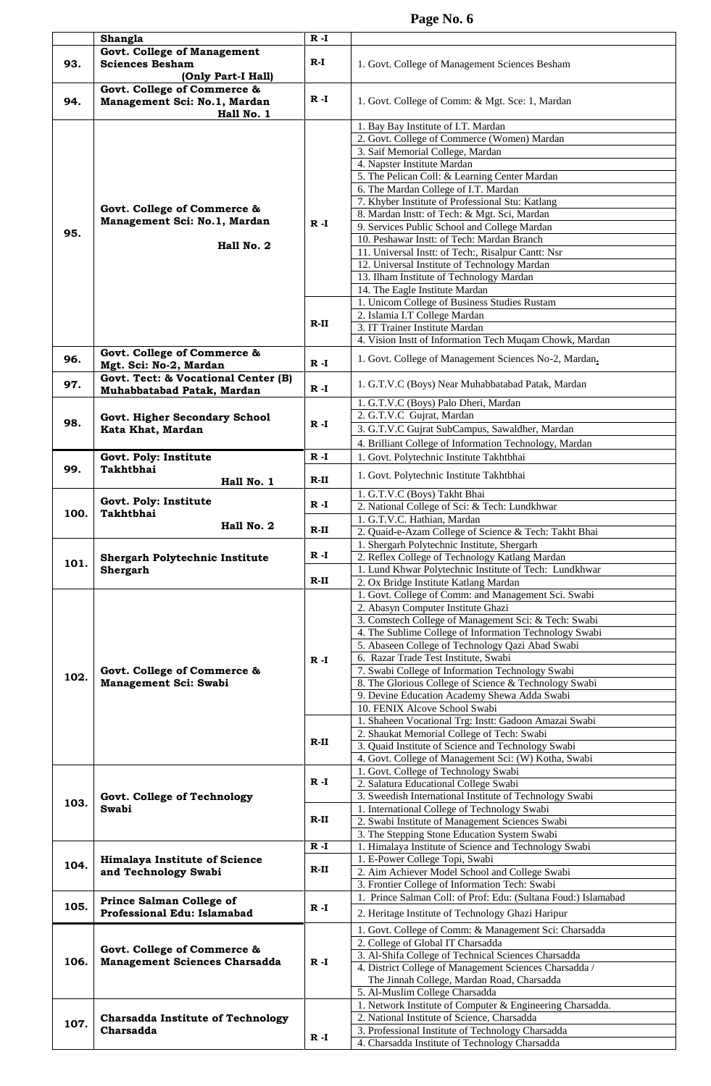|      | Shangla                                                                          | $R - I$           |                                                                                                                                                                                                                                                                                                                                                                                                                                                                                                       |
|------|----------------------------------------------------------------------------------|-------------------|-------------------------------------------------------------------------------------------------------------------------------------------------------------------------------------------------------------------------------------------------------------------------------------------------------------------------------------------------------------------------------------------------------------------------------------------------------------------------------------------------------|
| 93.  | Govt. College of Management<br><b>Sciences Besham</b><br>(Only Part-I Hall)      | $R-I$             | 1. Govt. College of Management Sciences Besham                                                                                                                                                                                                                                                                                                                                                                                                                                                        |
| 94.  | Govt. College of Commerce &<br>Management Sci: No.1, Mardan<br>Hall No. 1        | $R - I$           | 1. Govt. College of Comm: & Mgt. Sce: 1, Mardan                                                                                                                                                                                                                                                                                                                                                                                                                                                       |
|      |                                                                                  |                   | 1. Bay Bay Institute of I.T. Mardan<br>2. Govt. College of Commerce (Women) Mardan<br>3. Saif Memorial College, Mardan<br>4. Napster Institute Mardan<br>5. The Pelican Coll: & Learning Center Mardan<br>6. The Mardan College of I.T. Mardan<br>7. Khyber Institute of Professional Stu: Katlang                                                                                                                                                                                                    |
| 95.  | Govt. College of Commerce &<br>Management Sci: No.1, Mardan<br>Hall No. 2        | $R - I$           | 8. Mardan Instt: of Tech: & Mgt. Sci, Mardan<br>9. Services Public School and College Mardan<br>10. Peshawar Instt: of Tech: Mardan Branch<br>11. Universal Instt: of Tech:, Risalpur Cantt: Nsr<br>12. Universal Institute of Technology Mardan<br>13. Ilham Institute of Technology Mardan<br>14. The Eagle Institute Mardan                                                                                                                                                                        |
|      |                                                                                  | $R-II$            | 1. Unicom College of Business Studies Rustam<br>2. Islamia I.T College Mardan<br>3. IT Trainer Institute Mardan<br>4. Vision Instt of Information Tech Muqam Chowk, Mardan                                                                                                                                                                                                                                                                                                                            |
| 96.  | Govt. College of Commerce &<br>Mgt. Sci: No-2, Mardan                            | $R - I$           | 1. Govt. College of Management Sciences No-2, Mardan.                                                                                                                                                                                                                                                                                                                                                                                                                                                 |
| 97.  | Govt. Tect: & Vocational Center (B)                                              | $R - I$           | 1. G.T.V.C (Boys) Near Muhabbatabad Patak, Mardan                                                                                                                                                                                                                                                                                                                                                                                                                                                     |
| 98.  | Muhabbatabad Patak, Mardan<br>Govt. Higher Secondary School<br>Kata Khat, Mardan | $R - I$           | 1. G.T.V.C (Boys) Palo Dheri, Mardan<br>2. G.T.V.C Gujrat, Mardan<br>3. G.T.V.C Gujrat SubCampus, Sawaldher, Mardan                                                                                                                                                                                                                                                                                                                                                                                   |
|      |                                                                                  |                   | 4. Brilliant College of Information Technology, Mardan                                                                                                                                                                                                                                                                                                                                                                                                                                                |
| 99.  | Govt. Poly: Institute<br><b>Takhtbhai</b>                                        | R -I              | 1. Govt. Polytechnic Institute Takhtbhai                                                                                                                                                                                                                                                                                                                                                                                                                                                              |
|      | Hall No. 1                                                                       | $R-II$            | 1. Govt. Polytechnic Institute Takhtbhai                                                                                                                                                                                                                                                                                                                                                                                                                                                              |
| 100. | Govt. Poly: Institute<br><b>Takhtbhai</b>                                        | $R - I$           | 1. G.T.V.C (Boys) Takht Bhai<br>2. National College of Sci: & Tech: Lundkhwar<br>1. G.T.V.C. Hathian, Mardan                                                                                                                                                                                                                                                                                                                                                                                          |
|      | Hall No. 2                                                                       | R-II              | 2. Quaid-e-Azam College of Science & Tech: Takht Bhai                                                                                                                                                                                                                                                                                                                                                                                                                                                 |
| 101. | Shergarh Polytechnic Institute<br>Shergarh                                       | R -I              | 1. Shergarh Polytechnic Institute, Shergarh<br>2. Reflex College of Technology Katlang Mardan<br>1. Lund Khwar Polytechnic Institute of Tech: Lundkhwar                                                                                                                                                                                                                                                                                                                                               |
|      |                                                                                  | $R-II$            | 2. Ox Bridge Institute Katlang Mardan                                                                                                                                                                                                                                                                                                                                                                                                                                                                 |
| 102. | Govt. College of Commerce &<br>Management Sci: Swabi                             | $R - I$           | 1. Govt. College of Comm: and Management Sci. Swabi<br>2. Abasyn Computer Institute Ghazi<br>3. Comstech College of Management Sci: & Tech: Swabi<br>4. The Sublime College of Information Technology Swabi<br>5. Abaseen College of Technology Qazi Abad Swabi<br>6. Razar Trade Test Institute, Swabi<br>7. Swabi College of Information Technology Swabi<br>8. The Glorious College of Science & Technology Swabi<br>9. Devine Education Academy Shewa Adda Swabi<br>10. FENIX Alcove School Swabi |
|      |                                                                                  | $R-II$            | 1. Shaheen Vocational Trg: Instt: Gadoon Amazai Swabi<br>2. Shaukat Memorial College of Tech: Swabi<br>3. Quaid Institute of Science and Technology Swabi<br>4. Govt. College of Management Sci: (W) Kotha, Swabi                                                                                                                                                                                                                                                                                     |
| 103. | Govt. College of Technology<br>Swabi                                             | $R - I$           | 1. Govt. College of Technology Swabi<br>2. Salatura Educational College Swabi<br>3. Sweedish International Institute of Technology Swabi                                                                                                                                                                                                                                                                                                                                                              |
|      |                                                                                  | $R-II$            | 1. International College of Technology Swabi<br>2. Swabi Institute of Management Sciences Swabi<br>3. The Stepping Stone Education System Swabi                                                                                                                                                                                                                                                                                                                                                       |
| 104. | <b>Himalaya Institute of Science</b><br>and Technology Swabi                     | $R - I$<br>$R-II$ | 1. Himalaya Institute of Science and Technology Swabi<br>1. E-Power College Topi, Swabi<br>2. Aim Achiever Model School and College Swabi<br>3. Frontier College of Information Tech: Swabi                                                                                                                                                                                                                                                                                                           |
| 105. | <b>Prince Salman College of</b><br>Professional Edu: Islamabad                   | $R - I$           | 1. Prince Salman Coll: of Prof: Edu: (Sultana Foud:) Islamabad<br>2. Heritage Institute of Technology Ghazi Haripur                                                                                                                                                                                                                                                                                                                                                                                   |
| 106. | Govt. College of Commerce &<br><b>Management Sciences Charsadda</b>              | $R - I$           | 1. Govt. College of Comm: & Management Sci: Charsadda<br>2. College of Global IT Charsadda<br>3. Al-Shifa College of Technical Sciences Charsadda<br>4. District College of Management Sciences Charsadda /<br>The Jinnah College, Mardan Road, Charsadda<br>5. Al-Muslim College Charsadda                                                                                                                                                                                                           |
| 107. | <b>Charsadda Institute of Technology</b><br>Charsadda                            | $R - I$           | 1. Network Institute of Computer & Engineering Charsadda.<br>2. National Institute of Science, Charsadda<br>3. Professional Institute of Technology Charsadda<br>4. Charsadda Institute of Technology Charsadda                                                                                                                                                                                                                                                                                       |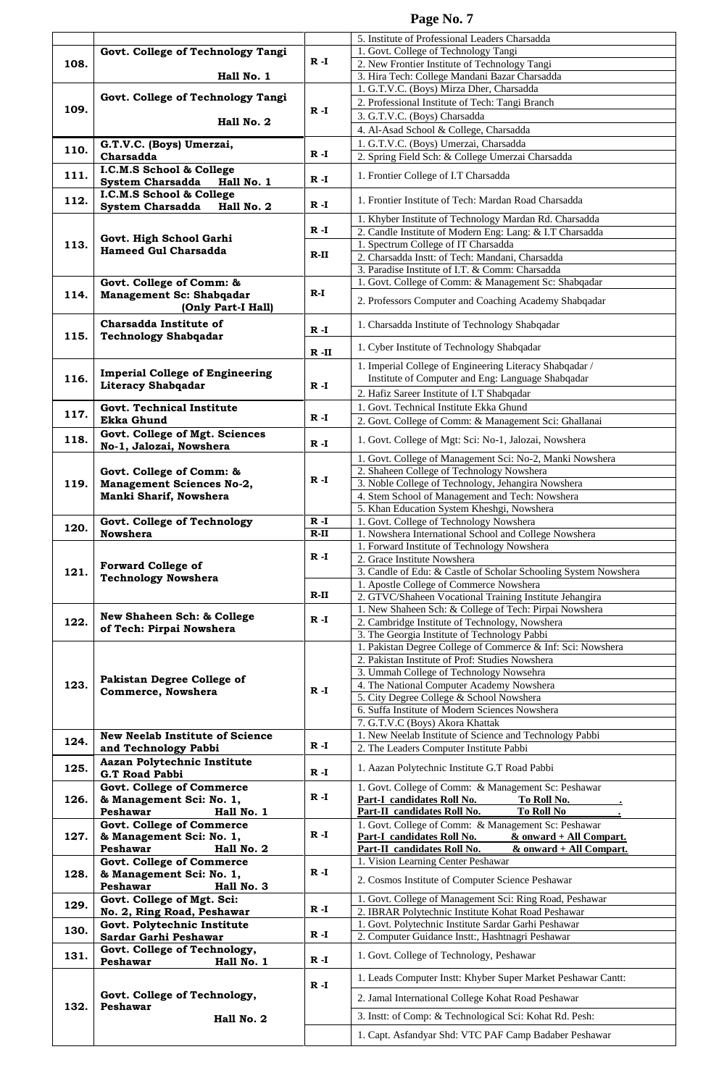|      |                                                         |          | 5. Institute of Professional Leaders Charsadda                  |
|------|---------------------------------------------------------|----------|-----------------------------------------------------------------|
|      | Govt. College of Technology Tangi                       | $R - I$  | 1. Govt. College of Technology Tangi                            |
| 108. |                                                         |          | 2. New Frontier Institute of Technology Tangi                   |
|      | Hall No. 1                                              |          | 3. Hira Tech: College Mandani Bazar Charsadda                   |
|      |                                                         |          | 1. G.T.V.C. (Boys) Mirza Dher, Charsadda                        |
|      | Govt. College of Technology Tangi                       |          | 2. Professional Institute of Tech: Tangi Branch                 |
| 109. |                                                         | $R - I$  |                                                                 |
|      | Hall No. 2                                              |          | 3. G.T.V.C. (Boys) Charsadda                                    |
|      |                                                         |          | 4. Al-Asad School & College, Charsadda                          |
|      | G.T.V.C. (Boys) Umerzai,                                |          | 1. G.T.V.C. (Boys) Umerzai, Charsadda                           |
| 110. | Charsadda                                               | R -I     | 2. Spring Field Sch: & College Umerzai Charsadda                |
|      | I.C.M.S School & College                                |          |                                                                 |
| 111. |                                                         | R -I     | 1. Frontier College of I.T Charsadda                            |
|      | <b>System Charsadda</b><br>Hall No. 1                   |          |                                                                 |
| 112. | I.C.M.S School & College                                |          | 1. Frontier Institute of Tech: Mardan Road Charsadda            |
|      | System Charsadda<br>Hall No. 2                          | R -I     |                                                                 |
|      |                                                         |          | 1. Khyber Institute of Technology Mardan Rd. Charsadda          |
|      |                                                         | R -I     | 2. Candle Institute of Modern Eng: Lang: & I.T Charsadda        |
| 113. | Govt. High School Garhi                                 |          | 1. Spectrum College of IT Charsadda                             |
|      | <b>Hameed Gul Charsadda</b>                             | $R-II$   | 2. Charsadda Instt: of Tech: Mandani, Charsadda                 |
|      |                                                         |          | 3. Paradise Institute of I.T. & Comm: Charsadda                 |
|      |                                                         |          |                                                                 |
|      | Govt. College of Comm: &                                | $R-I$    | 1. Govt. College of Comm: & Management Sc: Shabqadar            |
| 114. | Management Sc: Shabqadar                                |          | 2. Professors Computer and Coaching Academy Shabqadar           |
|      | (Only Part-I Hall)                                      |          |                                                                 |
|      | <b>Charsadda Institute of</b>                           |          | 1. Charsadda Institute of Technology Shabqadar                  |
| 115. | <b>Technology Shabqadar</b>                             | $R - I$  |                                                                 |
|      |                                                         |          | 1. Cyber Institute of Technology Shabqadar                      |
|      |                                                         | $R - II$ |                                                                 |
|      |                                                         |          | 1. Imperial College of Engineering Literacy Shabqadar /         |
| 116. | <b>Imperial College of Engineering</b>                  |          | Institute of Computer and Eng: Language Shabqadar               |
|      | Literacy Shabqadar                                      | $R - I$  | 2. Hafiz Sareer Institute of I.T Shabqadar                      |
|      |                                                         |          |                                                                 |
| 117. | Govt. Technical Institute                               |          | 1. Govt. Technical Institute Ekka Ghund                         |
|      | <b>Ekka Ghund</b>                                       | R -I     | 2. Govt. College of Comm: & Management Sci: Ghallanai           |
|      | Govt. College of Mgt. Sciences                          |          |                                                                 |
| 118. | No-1, Jalozai, Nowshera                                 | $R - I$  | 1. Govt. College of Mgt: Sci: No-1, Jalozai, Nowshera           |
|      |                                                         |          | 1. Govt. College of Management Sci: No-2, Manki Nowshera        |
|      | Govt. College of Comm: &                                | R -I     | 2. Shaheen College of Technology Nowshera                       |
| 119. |                                                         |          | 3. Noble College of Technology, Jehangira Nowshera              |
|      | Management Sciences No-2,                               |          |                                                                 |
|      | Manki Sharif, Nowshera                                  |          | 4. Stem School of Management and Tech: Nowshera                 |
|      |                                                         |          | 5. Khan Education System Kheshgi, Nowshera                      |
| 120. | <b>Govt. College of Technology</b>                      | $R - I$  | 1. Govt. College of Technology Nowshera                         |
|      | <b>Nowshera</b>                                         | $R-II$   | 1. Nowshera International School and College Nowshera           |
|      |                                                         |          | 1. Forward Institute of Technology Nowshera                     |
|      | <b>Forward College of</b><br><b>Technology Nowshera</b> | $R - I$  | 2. Grace Institute Nowshera                                     |
| 121. |                                                         |          | 3. Candle of Edu: & Castle of Scholar Schooling System Nowshera |
|      |                                                         |          | 1. Apostle College of Commerce Nowshera                         |
|      |                                                         | $R-II$   |                                                                 |
|      |                                                         |          | 2. GTVC/Shaheen Vocational Training Institute Jehangira         |
|      |                                                         |          |                                                                 |
|      |                                                         |          | 1. New Shaheen Sch: & College of Tech: Pirpai Nowshera          |
| 122. | New Shaheen Sch: & College                              | R -I     | 2. Cambridge Institute of Technology, Nowshera                  |
|      | of Tech: Pirpai Nowshera                                |          | 3. The Georgia Institute of Technology Pabbi                    |
|      |                                                         |          | 1. Pakistan Degree College of Commerce & Inf: Sci: Nowshera     |
|      |                                                         |          | 2. Pakistan Institute of Prof: Studies Nowshera                 |
|      |                                                         |          | 3. Ummah College of Technology Nowsehra                         |
|      | Pakistan Degree College of                              |          |                                                                 |
| 123. | Commerce, Nowshera                                      | $R - I$  | 4. The National Computer Academy Nowshera                       |
|      |                                                         |          | 5. City Degree College & School Nowshera                        |
|      |                                                         |          | 6. Suffa Institute of Modern Sciences Nowshera                  |
|      |                                                         |          | 7. G.T.V.C (Boys) Akora Khattak                                 |
| 124. | <b>New Neelab Institute of Science</b>                  |          | 1. New Neelab Institute of Science and Technology Pabbi         |
|      | and Technology Pabbi                                    | R -I     | 2. The Leaders Computer Institute Pabbi                         |
|      | Aazan Polytechnic Institute                             |          |                                                                 |
| 125. | <b>G.T Road Pabbi</b>                                   | R -I     | 1. Aazan Polytechnic Institute G.T Road Pabbi                   |
|      |                                                         |          |                                                                 |
| 126. | Govt. College of Commerce                               | $R - I$  | 1. Govt. College of Comm: & Management Sc: Peshawar             |
|      | & Management Sci: No. 1,<br>Peshawar                    |          | Part-I candidates Roll No.<br>To Roll No.                       |
|      | Hall No. 1                                              |          | Part-II candidates Roll No.<br><b>To Roll No</b>                |
|      | <b>Govt. College of Commerce</b>                        |          | 1. Govt. College of Comm: & Management Sc: Peshawar             |
| 127. | & Management Sci: No. 1,                                | R -I     | Part-I candidates Roll No.<br>$&$ onward + All Compart.         |
|      | Peshawar<br>Hall No. 2                                  |          | Part-II candidates Roll No.<br>& onward + All Compart.          |
|      | <b>Govt. College of Commerce</b>                        |          | 1. Vision Learning Center Peshawar                              |
| 128. | & Management Sci: No. 1,                                | $R - I$  |                                                                 |
|      | Peshawar<br>Hall No. 3                                  |          | 2. Cosmos Institute of Computer Science Peshawar                |
|      | Govt. College of Mgt. Sci:                              |          | 1. Govt. College of Management Sci: Ring Road, Peshawar         |
| 129. |                                                         | $R - I$  | 2. IBRAR Polytechnic Institute Kohat Road Peshawar              |
|      | No. 2, Ring Road, Peshawar                              |          |                                                                 |
| 130. | Govt. Polytechnic Institute                             | $R - I$  | 1. Govt. Polytechnic Institute Sardar Garhi Peshawar            |
|      | Sardar Garhi Peshawar                                   |          | 2. Computer Guidance Instt:, Hashtnagri Peshawar                |
| 131. | Govt. College of Technology,                            |          | 1. Govt. College of Technology, Peshawar                        |
|      | <b>Peshawar</b><br>Hall No. 1                           | R -I     |                                                                 |
|      |                                                         |          | 1. Leads Computer Instt: Khyber Super Market Peshawar Cantt:    |
|      |                                                         | $R - I$  |                                                                 |
|      | Govt. College of Technology,                            |          | 2. Jamal International College Kohat Road Peshawar              |
| 132. | Peshawar                                                |          |                                                                 |
|      | Hall No. 2                                              |          | 3. Instt: of Comp: & Technological Sci: Kohat Rd. Pesh:         |
|      |                                                         |          | 1. Capt. Asfandyar Shd: VTC PAF Camp Badaber Peshawar           |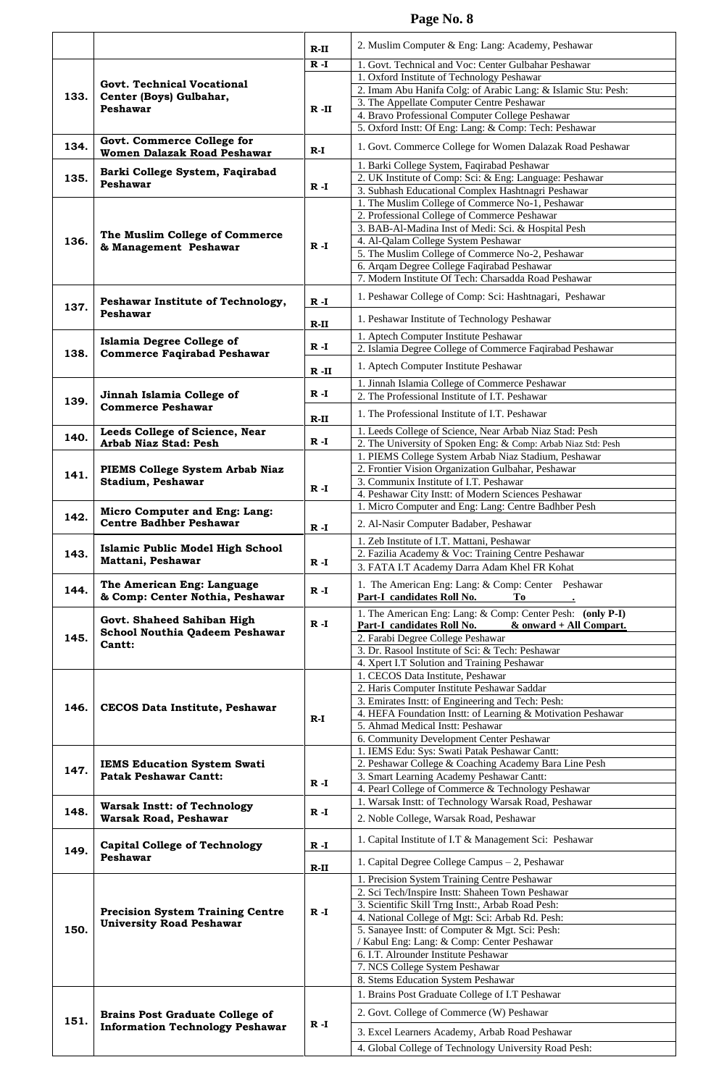|      |                                                                                                          | $R-II$  | 2. Muslim Computer & Eng: Lang: Academy, Peshawar                                                                        |
|------|----------------------------------------------------------------------------------------------------------|---------|--------------------------------------------------------------------------------------------------------------------------|
|      |                                                                                                          | $R - I$ | 1. Govt. Technical and Voc: Center Gulbahar Peshawar                                                                     |
|      |                                                                                                          |         | 1. Oxford Institute of Technology Peshawar                                                                               |
|      | Govt. Technical Vocational                                                                               |         | 2. Imam Abu Hanifa Colg: of Arabic Lang: & Islamic Stu: Pesh:                                                            |
| 133. | Center (Boys) Gulbahar,<br>Peshawar                                                                      |         | 3. The Appellate Computer Centre Peshawar                                                                                |
|      |                                                                                                          | $R$ -II | 4. Bravo Professional Computer College Peshawar                                                                          |
|      |                                                                                                          |         | 5. Oxford Instt: Of Eng: Lang: & Comp: Tech: Peshawar                                                                    |
| 134. | Govt. Commerce College for<br>Women Dalazak Road Peshawar                                                | $R-I$   | 1. Govt. Commerce College for Women Dalazak Road Peshawar                                                                |
|      | Barki College System, Faqirabad                                                                          |         | 1. Barki College System, Faqirabad Peshawar                                                                              |
| 135. | Peshawar                                                                                                 | $R - I$ | 2. UK Institute of Comp: Sci: & Eng: Language: Peshawar<br>3. Subhash Educational Complex Hashtnagri Peshawar            |
|      |                                                                                                          |         | 1. The Muslim College of Commerce No-1, Peshawar                                                                         |
|      |                                                                                                          |         | 2. Professional College of Commerce Peshawar                                                                             |
|      |                                                                                                          |         | 3. BAB-Al-Madina Inst of Medi: Sci. & Hospital Pesh                                                                      |
| 136. | The Muslim College of Commerce<br>& Management Peshawar                                                  | $R - I$ | 4. Al-Qalam College System Peshawar                                                                                      |
|      |                                                                                                          |         | 5. The Muslim College of Commerce No-2, Peshawar                                                                         |
|      |                                                                                                          |         | 6. Arqam Degree College Faqirabad Peshawar                                                                               |
|      |                                                                                                          |         | 7. Modern Institute Of Tech: Charsadda Road Peshawar                                                                     |
| 137. | Peshawar Institute of Technology,<br>Peshawar                                                            | $R - I$ | 1. Peshawar College of Comp: Sci: Hashtnagari, Peshawar                                                                  |
|      |                                                                                                          | $R-II$  | 1. Peshawar Institute of Technology Peshawar                                                                             |
|      | <b>Islamia Degree College of</b>                                                                         |         | 1. Aptech Computer Institute Peshawar                                                                                    |
| 138. | <b>Commerce Faqirabad Peshawar</b>                                                                       | $R - I$ | 2. Islamia Degree College of Commerce Faqirabad Peshawar                                                                 |
|      |                                                                                                          |         | 1. Aptech Computer Institute Peshawar                                                                                    |
|      |                                                                                                          | R -II   | 1. Jinnah Islamia College of Commerce Peshawar                                                                           |
|      | Jinnah Islamia College of<br><b>Commerce Peshawar</b>                                                    | $R - I$ | 2. The Professional Institute of I.T. Peshawar                                                                           |
| 139. |                                                                                                          |         | 1. The Professional Institute of I.T. Peshawar                                                                           |
|      |                                                                                                          | $R-II$  |                                                                                                                          |
| 140. | Leeds College of Science, Near<br>Arbab Niaz Stad: Pesh                                                  | $R - I$ | 1. Leeds College of Science, Near Arbab Niaz Stad: Pesh<br>2. The University of Spoken Eng: & Comp: Arbab Niaz Std: Pesh |
|      |                                                                                                          |         | 1. PIEMS College System Arbab Niaz Stadium, Peshawar                                                                     |
|      | PIEMS College System Arbab Niaz<br>Stadium, Peshawar                                                     | $R - I$ | 2. Frontier Vision Organization Gulbahar, Peshawar                                                                       |
| 141. |                                                                                                          |         | 3. Communix Institute of I.T. Peshawar                                                                                   |
|      |                                                                                                          |         | 4. Peshawar City Instt: of Modern Sciences Peshawar                                                                      |
|      | Micro Computer and Eng: Lang:<br><b>Centre Badhber Peshawar</b>                                          |         | 1. Micro Computer and Eng: Lang: Centre Badhber Pesh                                                                     |
| 142. |                                                                                                          | $R - I$ | 2. Al-Nasir Computer Badaber, Peshawar                                                                                   |
|      |                                                                                                          |         | 1. Zeb Institute of I.T. Mattani, Peshawar                                                                               |
| 143. | Islamic Public Model High School<br>Mattani, Peshawar                                                    |         | 2. Fazilia Academy & Voc: Training Centre Peshawar                                                                       |
|      |                                                                                                          | $R - I$ | 3. FATA I.T Academy Darra Adam Khel FR Kohat                                                                             |
| 144. | The American Eng: Language                                                                               | $R - I$ | 1. The American Eng: Lang: & Comp: Center Peshawar                                                                       |
|      | & Comp: Center Nothia, Peshawar                                                                          |         | Part-I candidates Roll No.<br>Tо<br>1. The American Eng: Lang: & Comp: Center Pesh: (only P-I)                           |
|      | Govt. Shaheed Sahiban High<br>School Nouthia Qadeem Peshawar<br>Cantt:                                   | $R - I$ | Part-I candidates Roll No.<br>$&$ onward + All Compart.                                                                  |
| 145. |                                                                                                          |         | 2. Farabi Degree College Peshawar                                                                                        |
|      |                                                                                                          |         | 3. Dr. Rasool Institute of Sci: & Tech: Peshawar                                                                         |
|      |                                                                                                          |         | 4. Xpert I.T Solution and Training Peshawar                                                                              |
|      | CECOS Data Institute, Peshawar                                                                           |         | 1. CECOS Data Institute, Peshawar                                                                                        |
|      |                                                                                                          |         | 2. Haris Computer Institute Peshawar Saddar<br>3. Emirates Instt: of Engineering and Tech: Pesh:                         |
| 146. |                                                                                                          |         | 4. HEFA Foundation Instt: of Learning & Motivation Peshawar                                                              |
|      |                                                                                                          | $R-I$   | 5. Ahmad Medical Instt: Peshawar                                                                                         |
|      |                                                                                                          |         | 6. Community Development Center Peshawar                                                                                 |
|      | <b>IEMS Education System Swati</b><br><b>Patak Peshawar Cantt:</b><br><b>Warsak Instt: of Technology</b> |         | 1. IEMS Edu: Sys: Swati Patak Peshawar Cantt:                                                                            |
| 147. |                                                                                                          |         | 2. Peshawar College & Coaching Academy Bara Line Pesh<br>3. Smart Learning Academy Peshawar Cantt:                       |
|      |                                                                                                          | $R - I$ | 4. Pearl College of Commerce & Technology Peshawar                                                                       |
|      |                                                                                                          |         | 1. Warsak Instt: of Technology Warsak Road, Peshawar                                                                     |
| 148. | <b>Warsak Road, Peshawar</b>                                                                             | $R - I$ | 2. Noble College, Warsak Road, Peshawar                                                                                  |
|      |                                                                                                          |         |                                                                                                                          |
| 149. | <b>Capital College of Technology</b>                                                                     | $R - I$ | 1. Capital Institute of I.T & Management Sci: Peshawar                                                                   |
|      | Peshawar                                                                                                 | R-II    | 1. Capital Degree College Campus - 2, Peshawar                                                                           |
|      |                                                                                                          |         | 1. Precision System Training Centre Peshawar                                                                             |
|      |                                                                                                          |         | 2. Sci Tech/Inspire Instt: Shaheen Town Peshawar                                                                         |
|      | <b>Precision System Training Centre</b>                                                                  | $R - I$ | 3. Scientific Skill Trng Instt:, Arbab Road Pesh:                                                                        |
|      | <b>University Road Peshawar</b>                                                                          |         | 4. National College of Mgt: Sci: Arbab Rd. Pesh:                                                                         |
| 150. |                                                                                                          |         | 5. Sanayee Instt: of Computer & Mgt. Sci: Pesh:<br>/ Kabul Eng: Lang: & Comp: Center Peshawar                            |
|      |                                                                                                          |         | 6. I.T. Alrounder Institute Peshawar                                                                                     |
|      |                                                                                                          |         | 7. NCS College System Peshawar                                                                                           |
|      |                                                                                                          |         | 8. Stems Education System Peshawar                                                                                       |
|      |                                                                                                          |         | 1. Brains Post Graduate College of I.T Peshawar                                                                          |
|      |                                                                                                          | $R - I$ | 2. Govt. College of Commerce (W) Peshawar                                                                                |
| 151. | <b>Brains Post Graduate College of</b><br><b>Information Technology Peshawar</b>                         |         |                                                                                                                          |
|      |                                                                                                          |         | 3. Excel Learners Academy, Arbab Road Peshawar                                                                           |
|      |                                                                                                          |         | 4. Global College of Technology University Road Pesh:                                                                    |